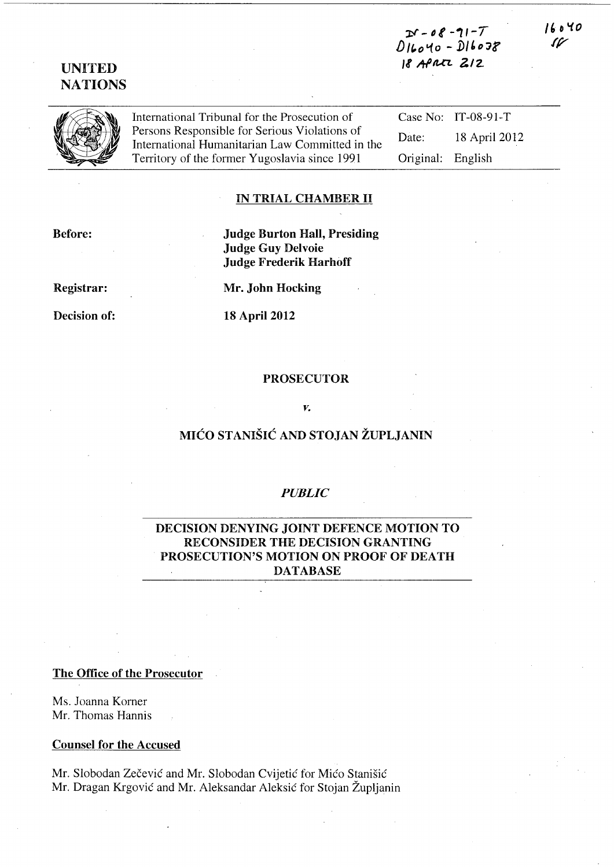# $D - 08 - 11 - 7$ D/(,ot.{o - *1>1'Djf 1I* ~/U7.. *?/2.*

## UNITED **NATIONS**

International Tribunal for the Prosecution of Persons Responsible for Serious Violations of International Humanitarian Law Committed in the Territory of the former Yugoslavia since 1991

Case No: IT-08-91-T Date: 18 April 2012 Original: English

*"0'1.0 1/7* 

## IN TRIAL CHAMBER II

Before:

Judge Burton Hall, Presiding Judge Guy Delvoie Judge Frederik Harhoff

Registrar:

Decision of:

Mr. John Hocking

18 April 2012

#### PROSECUTOR

#### *v.*

# MICO STANISIC AND STOJAN ZUPLJANIN

#### *PUBLIC*

## DECISION DENYING JOINT DEFENCE MOTION TO RECONSIDER THE DECISION GRANTING PROSECUTION'S MOTION ON PROOF OF DEATH DATABASE

#### The Office of the Prosecutor

Ms. Joanna Korner Mr. Thomas Hannis

#### Counsel for the Accused

Mr. Slobodan Zecevic and Mr. Slobodan Cvijetic for Mico Stanisic Mr. Dragan Krgovic and Mr. Aleksandar Aleksic for Stojan Zupljanin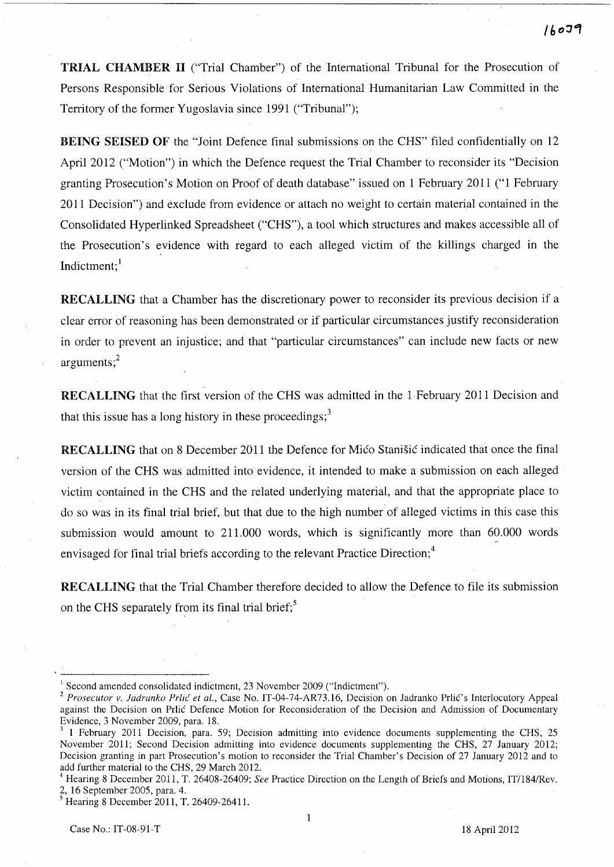TRIAL CHAMBER II ("Trial Chamber") of the International Tribunal for the Prosecution of Persons Responsible for Serious Violations of International Humanitarian Law Committed in the Territory of the former Yugoslavia since 1991 ("Tribunal");

BEING SEISED OF the "Joint Defence final submissions on the CHS" filed confidentially on 12 April 2012 ("Motion") in which the Defence request the Trial Chamber to reconsider its "Decision granting Prosecution's Motion on Proof of death database" issued on 1 February 2011 ("1 February 2011 Decision") and exclude from evidence or attach no weight to certain material contained in the Consolidated Hyperlinked Spreadsheet ("CHS"), a tool which structures and makes accessible all of the Prosecution's evidence with regard to each alleged victim of the killings charged in the Indictment; $<sup>1</sup>$ </sup>

RECALLING that a Chamber has the discretionary power to reconsider its previous decision if a clear error of reasoning has been demonstrated or if particular circumstances justify reconsideration in order to prevent an injustice; and that "particular circumstances" can include new facts or new arguments; $^{2}$ 

RECALLING that the first version of the CHS was admitted in the 1 February 2011 Decision and that this issue has a long history in these proceedings; $3$ 

RECALLING that on 8 December 2011 the Defence for Mico Stanisic indicated that once the final version of the CHS was admitted into evidence, it intended to make a submission on each alleged victim contained in the CHS and the related underlying material, and that the appropriate place to do so was in its final trial brief, but that due to the high number of alleged victims in this case this submission would amount to 211.000 words, which is significantly more than 60.000 words envisaged for final trial briefs according to the relevant Practice Direction;<sup>4</sup>

RECALLING that the Trial Chamber therefore decided to allow the Defence to file its submission on the CHS separately from its final trial brief; $5<sup>5</sup>$ 

 $\mathbf{1}$ 

<sup>&</sup>lt;sup>1</sup> Second amended consolidated indictment, 23 November 2009 ("Indictment").

<sup>&</sup>lt;sup>2</sup> Prosecutor v. Jadranko Prlić et al., Case No. IT-04-74-AR73.16, Decision on Jadranko Prlić's Interlocutory Appeal against the Decision on Prlic Defence Motion for Reconsideration of the Decision and Admission of Documentary Evidence, 3 November 2009, para. 18.

<sup>3 1</sup> February 2011 Decision, para. 59; Decision admitting into evidence documents supplementing the CHS, 25 November 2011; Second Decision admitting into evidence documents supplementing the CHS, 27 January 2012; Decision granting in part Prosecution's motion to reconsider the Trial Chamber's Decision of 27 January 2012 and to add further material to the CHS, 29 March 2012.

<sup>4</sup>Hearing 8 December 2011, T. 26408-26409; *See* Practice Direction on the Length of Briefs and Motions, IT/184/Rev. 2, 16 September 2005, para. 4.

<sup>5</sup> Hearing 8 December 2011, T. 26409-26411.